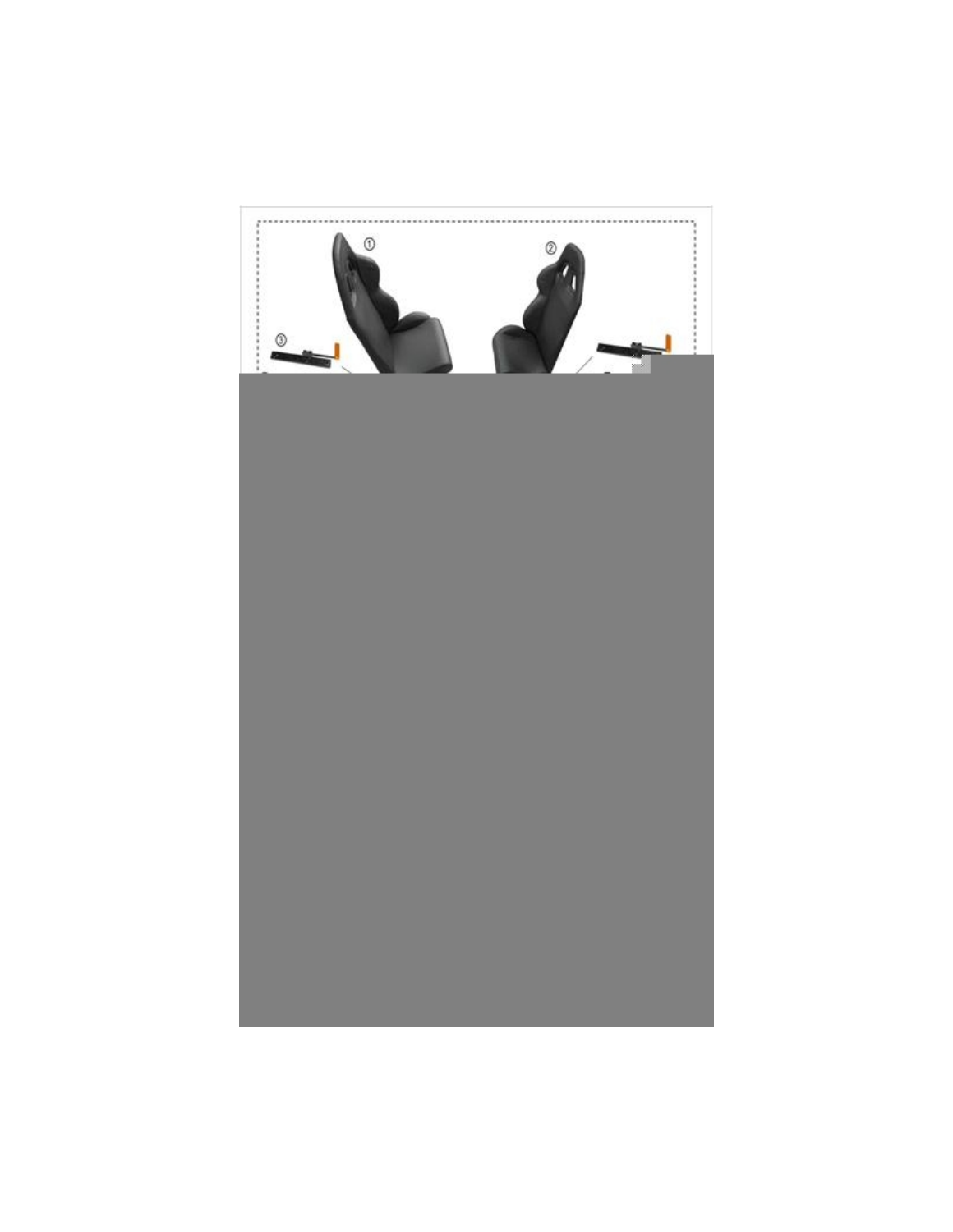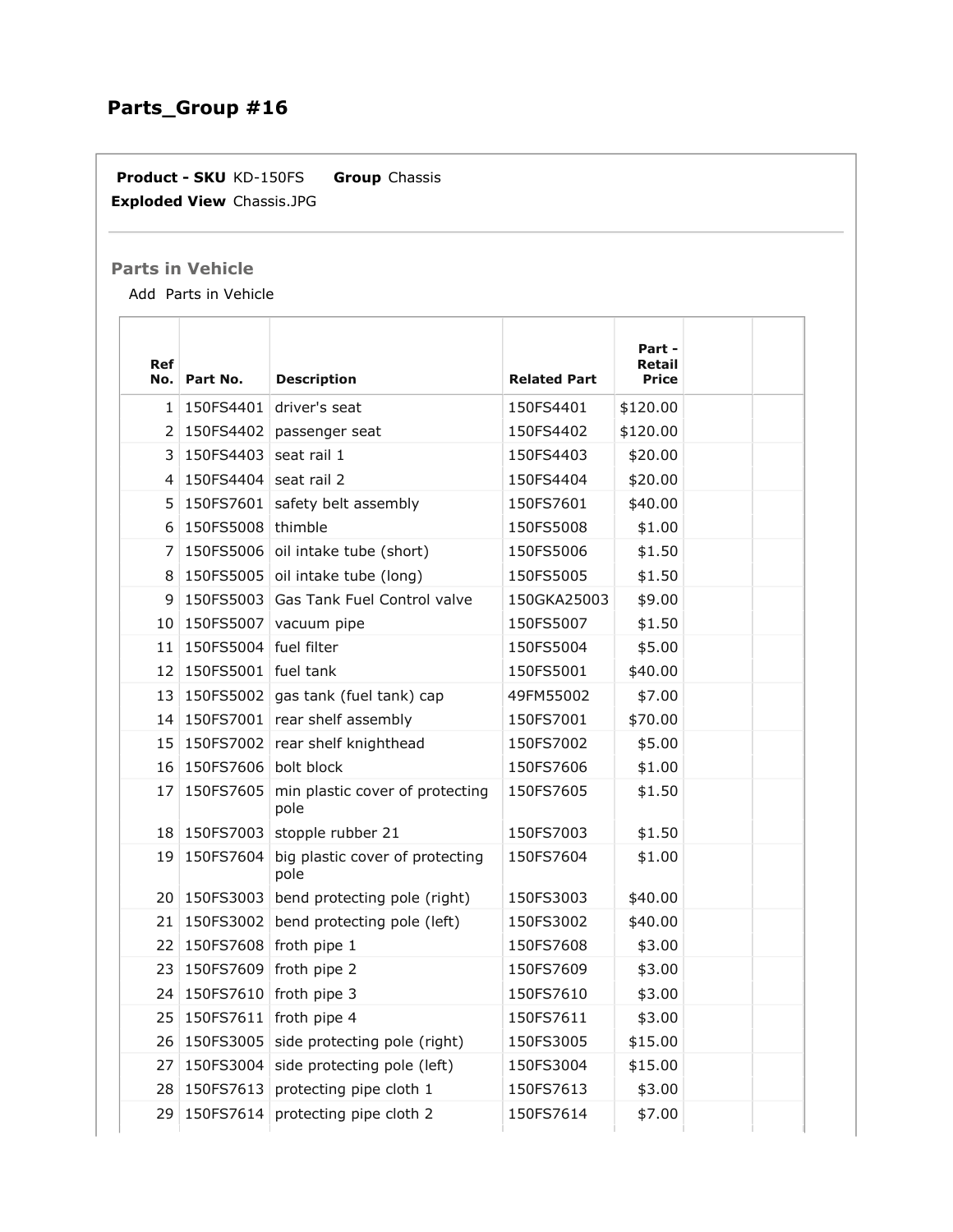# **Product - SKU**  KD-150FS **Group** Chassis

**Exploded View** Chassis.JPG

#### **Parts in Vehicle**

| Ref<br>No.     | Part No.                | <b>Description</b>                      | <b>Related Part</b> | Part -<br>Retail<br><b>Price</b> |
|----------------|-------------------------|-----------------------------------------|---------------------|----------------------------------|
| 1              | 150FS4401               | driver's seat                           | 150FS4401           | \$120.00                         |
| $\overline{2}$ |                         | 150FS4402   passenger seat              | 150FS4402           | \$120.00                         |
| 3              | 150FS4403               | seat rail 1                             | 150FS4403           | \$20.00                          |
| 4              | 150FS4404               | seat rail 2                             | 150FS4404           | \$20.00                          |
| 5              | 150FS7601               | safety belt assembly                    | 150FS7601           | \$40.00                          |
| 6              | 150FS5008               | thimble                                 | 150FS5008           | \$1.00                           |
| 7              | 150FS5006               | oil intake tube (short)                 | 150FS5006           | \$1.50                           |
| 8              | 150FS5005               | oil intake tube (long)                  | 150FS5005           | \$1.50                           |
| 9              |                         | 150FS5003 Gas Tank Fuel Control valve   | 150GKA25003         | \$9.00                           |
| 10             | 150FS5007               | vacuum pipe                             | 150FS5007           | \$1.50                           |
| 11             | 150FS5004               | fuel filter                             | 150FS5004           | \$5.00                           |
| 12             | 150FS5001 fuel tank     |                                         | 150FS5001           | \$40.00                          |
| 13             |                         | 150FS5002 gas tank (fuel tank) cap      | 49FM55002           | \$7.00                           |
| 14             |                         | 150FS7001 rear shelf assembly           | 150FS7001           | \$70.00                          |
| 15             |                         | 150FS7002 rear shelf knighthead         | 150FS7002           | \$5.00                           |
|                | 16 150FS7606 bolt block |                                         | 150FS7606           | \$1.00                           |
| 17             | 150FS7605               | min plastic cover of protecting<br>pole | 150FS7605           | \$1.50                           |
| 18             | 150FS7003               | stopple rubber 21                       | 150FS7003           | \$1.50                           |
| 19             | 150FS7604               | big plastic cover of protecting<br>pole | 150FS7604           | \$1.00                           |
| 20             |                         | 150FS3003 bend protecting pole (right)  | 150FS3003           | \$40.00                          |
| 21             | 150FS3002               | bend protecting pole (left)             | 150FS3002           | \$40.00                          |
| 22             | 150FS7608               | froth pipe 1                            | 150FS7608           | \$3.00                           |
| 23             | 150FS7609               | froth pipe 2                            | 150FS7609           | \$3.00                           |
| 24             | 150FS7610               | froth pipe 3                            | 150FS7610           | \$3.00                           |
| 25             | 150FS7611               | froth pipe 4                            | 150FS7611           | \$3.00                           |
| 26             | 150FS3005               | side protecting pole (right)            | 150FS3005           | \$15.00                          |
| 27             | 150FS3004               | side protecting pole (left)             | 150FS3004           | \$15.00                          |
| 28             | 150FS7613               | protecting pipe cloth 1                 | 150FS7613           | \$3.00                           |
| 29             | 150FS7614               | protecting pipe cloth 2                 | 150FS7614           | \$7.00                           |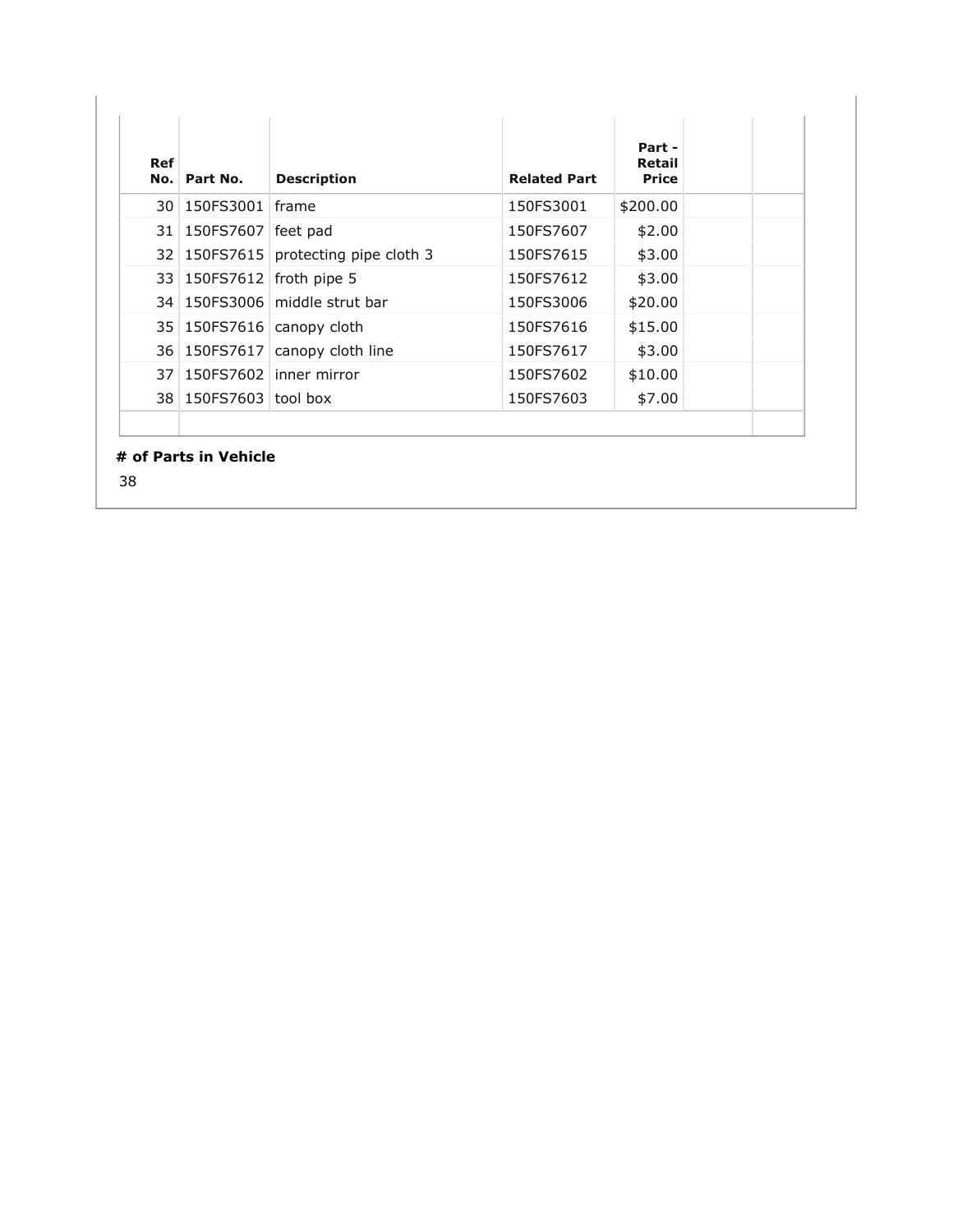| Ref<br>No. | Part No.       | <b>Description</b>      | <b>Related Part</b> | Part -<br>Retail<br><b>Price</b> |  |
|------------|----------------|-------------------------|---------------------|----------------------------------|--|
|            | 30   150FS3001 | frame                   | 150FS3001           | \$200.00                         |  |
|            | 31 150FS7607   | feet pad                | 150FS7607           | \$2.00                           |  |
|            | 32   150FS7615 | protecting pipe cloth 3 | 150FS7615           | \$3.00                           |  |
|            | 33   150FS7612 | froth pipe 5            | 150FS7612           | \$3.00                           |  |
|            | 34   150FS3006 | middle strut bar        | 150FS3006           | \$20.00                          |  |
|            | 35   150FS7616 | canopy cloth            | 150FS7616           | \$15.00                          |  |
|            | 36   150FS7617 | canopy cloth line       | 150FS7617           | \$3.00                           |  |
|            | 37   150FS7602 | inner mirror            | 150FS7602           | \$10.00                          |  |
|            | 38   150FS7603 | tool box                | 150FS7603           | \$7.00                           |  |
|            |                |                         |                     |                                  |  |

38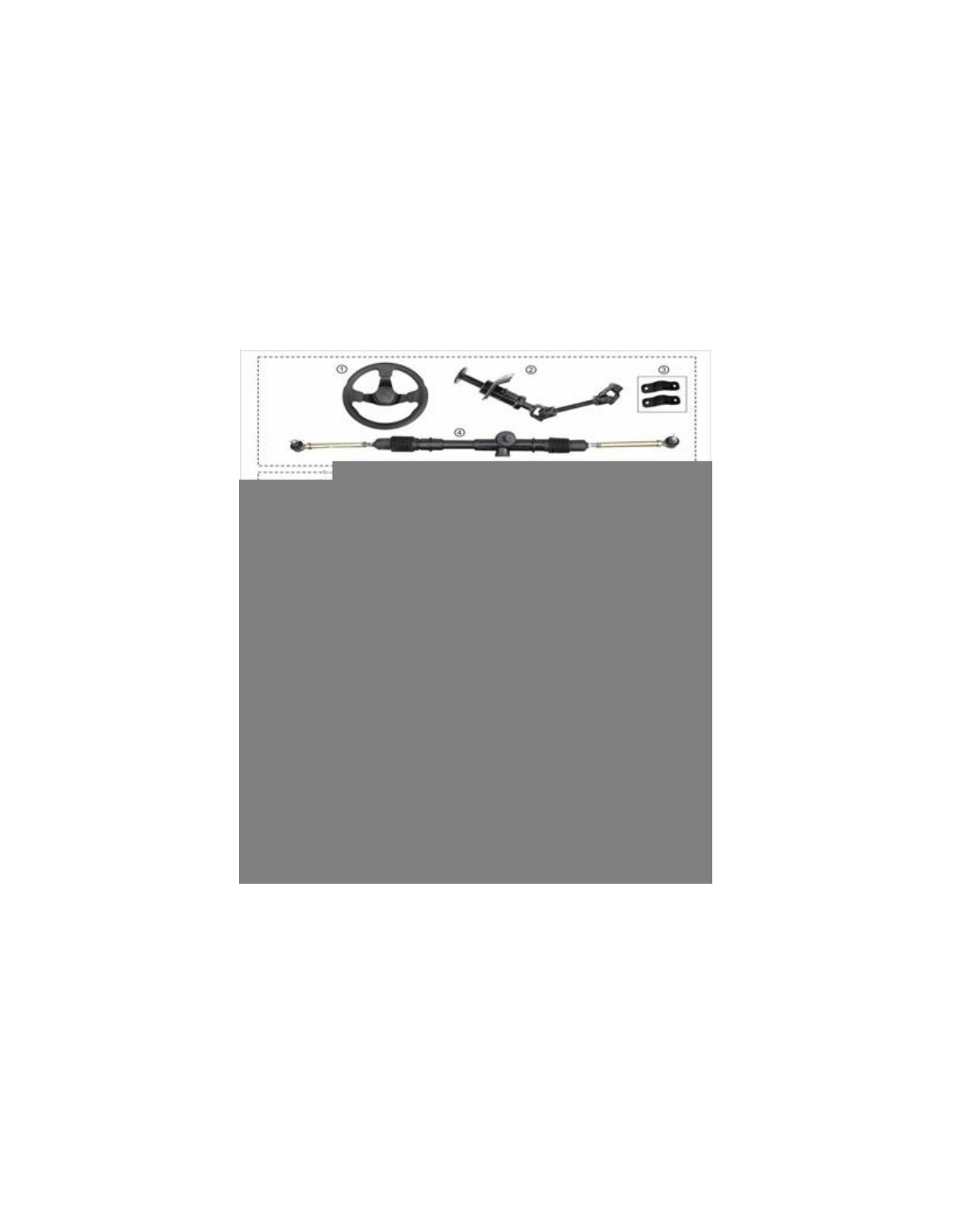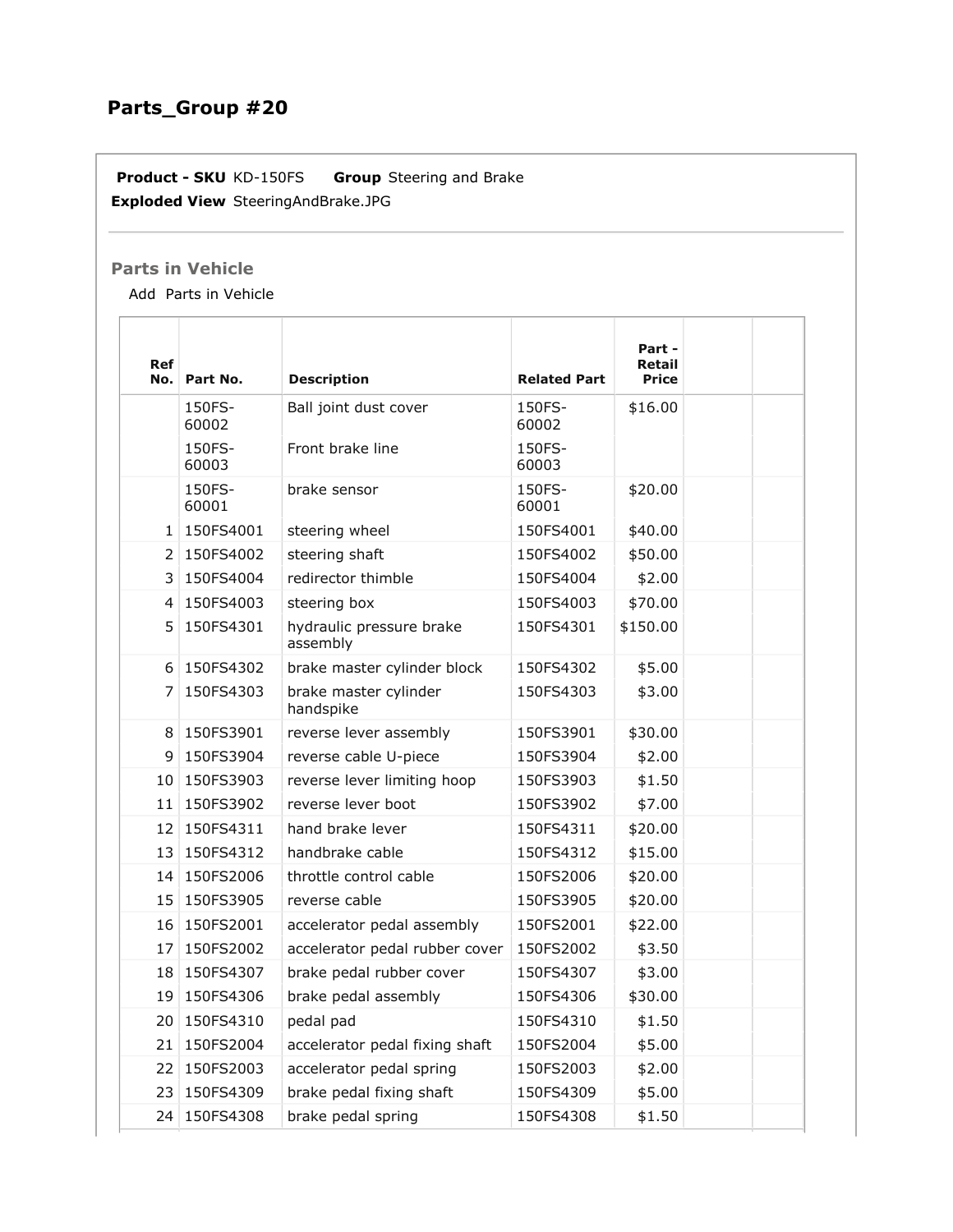### **Product - SKU**  KD-150FS **Group** Steering and Brake **Exploded View**  SteeringAndBrake.JPG

#### **Parts in Vehicle**

| <b>Ref</b><br>No. | Part No.        | <b>Description</b>                   | <b>Related Part</b> | Part -<br>Retail<br><b>Price</b> |  |
|-------------------|-----------------|--------------------------------------|---------------------|----------------------------------|--|
|                   | 150FS-<br>60002 | Ball joint dust cover                | 150FS-<br>60002     | \$16.00                          |  |
|                   | 150FS-<br>60003 | Front brake line                     | 150FS-<br>60003     |                                  |  |
|                   | 150FS-<br>60001 | brake sensor                         | 150FS-<br>60001     | \$20.00                          |  |
| 1                 | 150FS4001       | steering wheel                       | 150FS4001           | \$40.00                          |  |
| 2                 | 150FS4002       | steering shaft                       | 150FS4002           | \$50.00                          |  |
| 3                 | 150FS4004       | redirector thimble                   | 150FS4004           | \$2.00                           |  |
| 4                 | 150FS4003       | steering box                         | 150FS4003           | \$70.00                          |  |
| 5                 | 150FS4301       | hydraulic pressure brake<br>assembly | 150FS4301           | \$150.00                         |  |
| 6                 | 150FS4302       | brake master cylinder block          | 150FS4302           | \$5.00                           |  |
| 7                 | 150FS4303       | brake master cylinder<br>handspike   | 150FS4303           | \$3.00                           |  |
| 8                 | 150FS3901       | reverse lever assembly               | 150FS3901           | \$30.00                          |  |
| 9                 | 150FS3904       | reverse cable U-piece                | 150FS3904           | \$2.00                           |  |
| 10                | 150FS3903       | reverse lever limiting hoop          | 150FS3903           | \$1.50                           |  |
| 11                | 150FS3902       | reverse lever boot                   | 150FS3902           | \$7.00                           |  |
| 12                | 150FS4311       | hand brake lever                     | 150FS4311           | \$20.00                          |  |
| 13                | 150FS4312       | handbrake cable                      | 150FS4312           | \$15.00                          |  |
| 14                | 150FS2006       | throttle control cable               | 150FS2006           | \$20.00                          |  |
| 15                | 150FS3905       | reverse cable                        | 150FS3905           | \$20.00                          |  |
| 16                | 150FS2001       | accelerator pedal assembly           | 150FS2001           | \$22.00                          |  |
| 17                | 150FS2002       | accelerator pedal rubber cover       | 150FS2002           | \$3.50                           |  |
| 18                | 150FS4307       | brake pedal rubber cover             | 150FS4307           | \$3.00                           |  |
| 19                | 150FS4306       | brake pedal assembly                 | 150FS4306           | \$30.00                          |  |
| 20                | 150FS4310       | pedal pad                            | 150FS4310           | \$1.50                           |  |
| 21                | 150FS2004       | accelerator pedal fixing shaft       | 150FS2004           | \$5.00                           |  |
| 22                | 150FS2003       | accelerator pedal spring             | 150FS2003           | \$2.00                           |  |
| 23                | 150FS4309       | brake pedal fixing shaft             | 150FS4309           | \$5.00                           |  |
| 24                | 150FS4308       | brake pedal spring                   | 150FS4308           | \$1.50                           |  |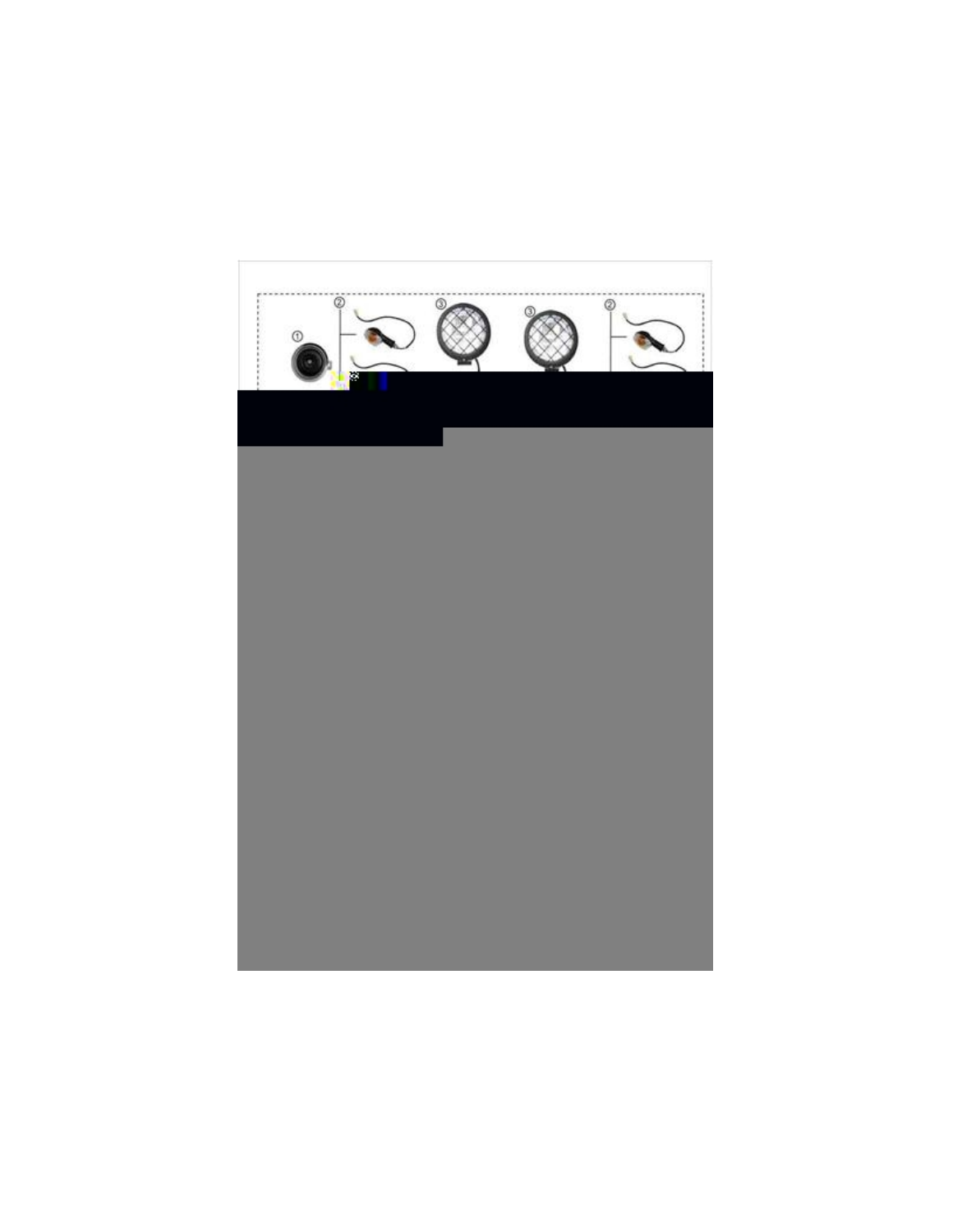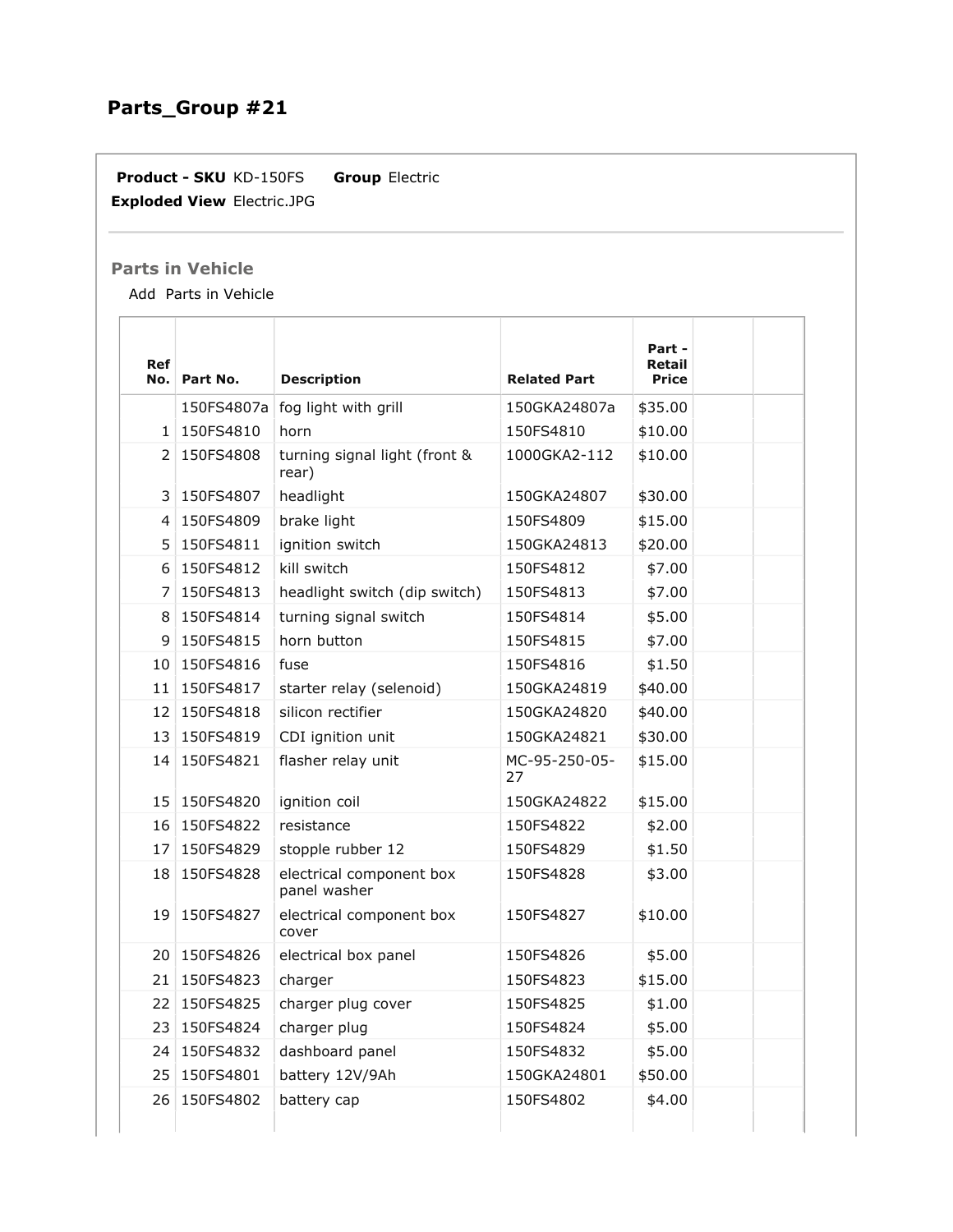### **Product - SKU**  KD-150FS **Group**  Electric

**Exploded View**  Electric.JPG

#### **Parts in Vehicle**

| <b>Ref</b><br>No. | Part No.     | <b>Description</b>                       | <b>Related Part</b> | Part -<br>Retail<br><b>Price</b> |  |
|-------------------|--------------|------------------------------------------|---------------------|----------------------------------|--|
|                   | 150FS4807a   | fog light with grill                     | 150GKA24807a        | \$35.00                          |  |
| $\mathbf{1}$      | 150FS4810    | horn                                     | 150FS4810           | \$10.00                          |  |
| 2                 | 150FS4808    | turning signal light (front &<br>rear)   | 1000GKA2-112        | \$10.00                          |  |
| 3                 | 150FS4807    | headlight                                | 150GKA24807         | \$30.00                          |  |
| 4                 | 150FS4809    | brake light                              | 150FS4809           | \$15.00                          |  |
| 5                 | 150FS4811    | ignition switch                          | 150GKA24813         | \$20.00                          |  |
| 6                 | 150FS4812    | kill switch                              | 150FS4812           | \$7.00                           |  |
| 7                 | 150FS4813    | headlight switch (dip switch)            | 150FS4813           | \$7.00                           |  |
| 8                 | 150FS4814    | turning signal switch                    | 150FS4814           | \$5.00                           |  |
| 9                 | 150FS4815    | horn button                              | 150FS4815           | \$7.00                           |  |
| 10                | 150FS4816    | fuse                                     | 150FS4816           | \$1.50                           |  |
| 11                | 150FS4817    | starter relay (selenoid)                 | 150GKA24819         | \$40.00                          |  |
|                   | 12 150FS4818 | silicon rectifier                        | 150GKA24820         | \$40.00                          |  |
| 13                | 150FS4819    | CDI ignition unit                        | 150GKA24821         | \$30.00                          |  |
| 14                | 150FS4821    | flasher relay unit                       | MC-95-250-05-<br>27 | \$15.00                          |  |
| 15                | 150FS4820    | ignition coil                            | 150GKA24822         | \$15.00                          |  |
| 16                | 150FS4822    | resistance                               | 150FS4822           | \$2.00                           |  |
| 17                | 150FS4829    | stopple rubber 12                        | 150FS4829           | \$1.50                           |  |
| 18                | 150FS4828    | electrical component box<br>panel washer | 150FS4828           | \$3.00                           |  |
|                   | 19 150FS4827 | electrical component box<br>cover        | 150FS4827           | \$10.00                          |  |
| 20                | 150FS4826    | electrical box panel                     | 150FS4826           | \$5.00                           |  |
| 21                | 150FS4823    | charger                                  | 150FS4823           | \$15.00                          |  |
|                   | 22 150FS4825 | charger plug cover                       | 150FS4825           | \$1.00                           |  |
|                   | 23 150FS4824 | charger plug                             | 150FS4824           | \$5.00                           |  |
| 24                | 150FS4832    | dashboard panel                          | 150FS4832           | \$5.00                           |  |
| 25                | 150FS4801    | battery 12V/9Ah                          | 150GKA24801         | \$50.00                          |  |
| 26                | 150FS4802    | battery cap                              | 150FS4802           | \$4.00                           |  |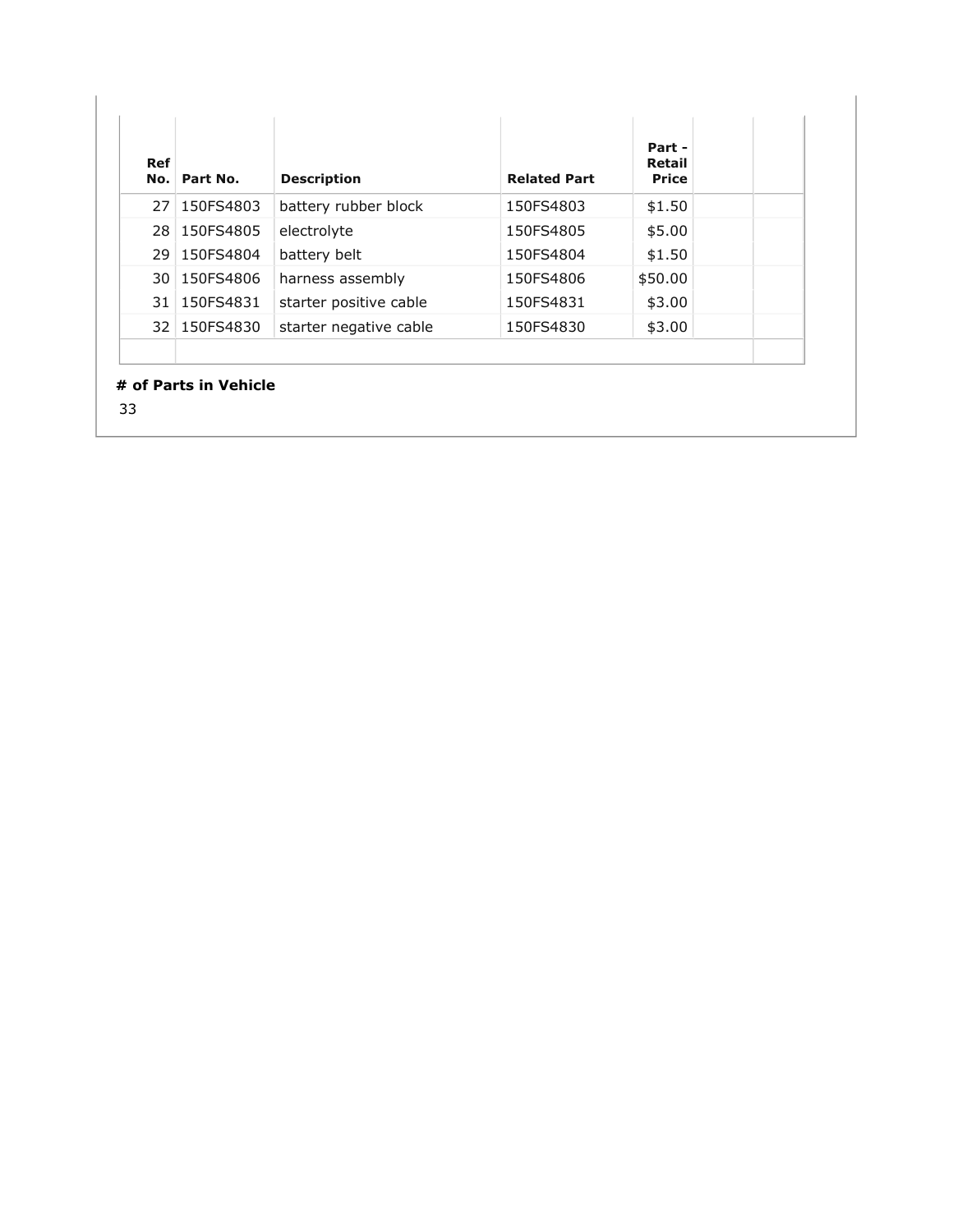| <b>Ref</b> | No. Part No.          | <b>Description</b>     | <b>Related Part</b> | Part -<br>Retail<br><b>Price</b> |  |
|------------|-----------------------|------------------------|---------------------|----------------------------------|--|
| 27         | 150FS4803             | battery rubber block   | 150FS4803           | \$1.50                           |  |
| 28         | 150FS4805             | electrolyte            | 150FS4805           | \$5.00                           |  |
| 29         | 150FS4804             | battery belt           | 150FS4804           | \$1.50                           |  |
| 30         | 150FS4806             | harness assembly       | 150FS4806           | \$50.00                          |  |
| 31         | 150FS4831             | starter positive cable | 150FS4831           | \$3.00                           |  |
|            | 32 150FS4830          | starter negative cable | 150FS4830           | \$3.00                           |  |
|            |                       |                        |                     |                                  |  |
|            | # of Parts in Vehicle |                        |                     |                                  |  |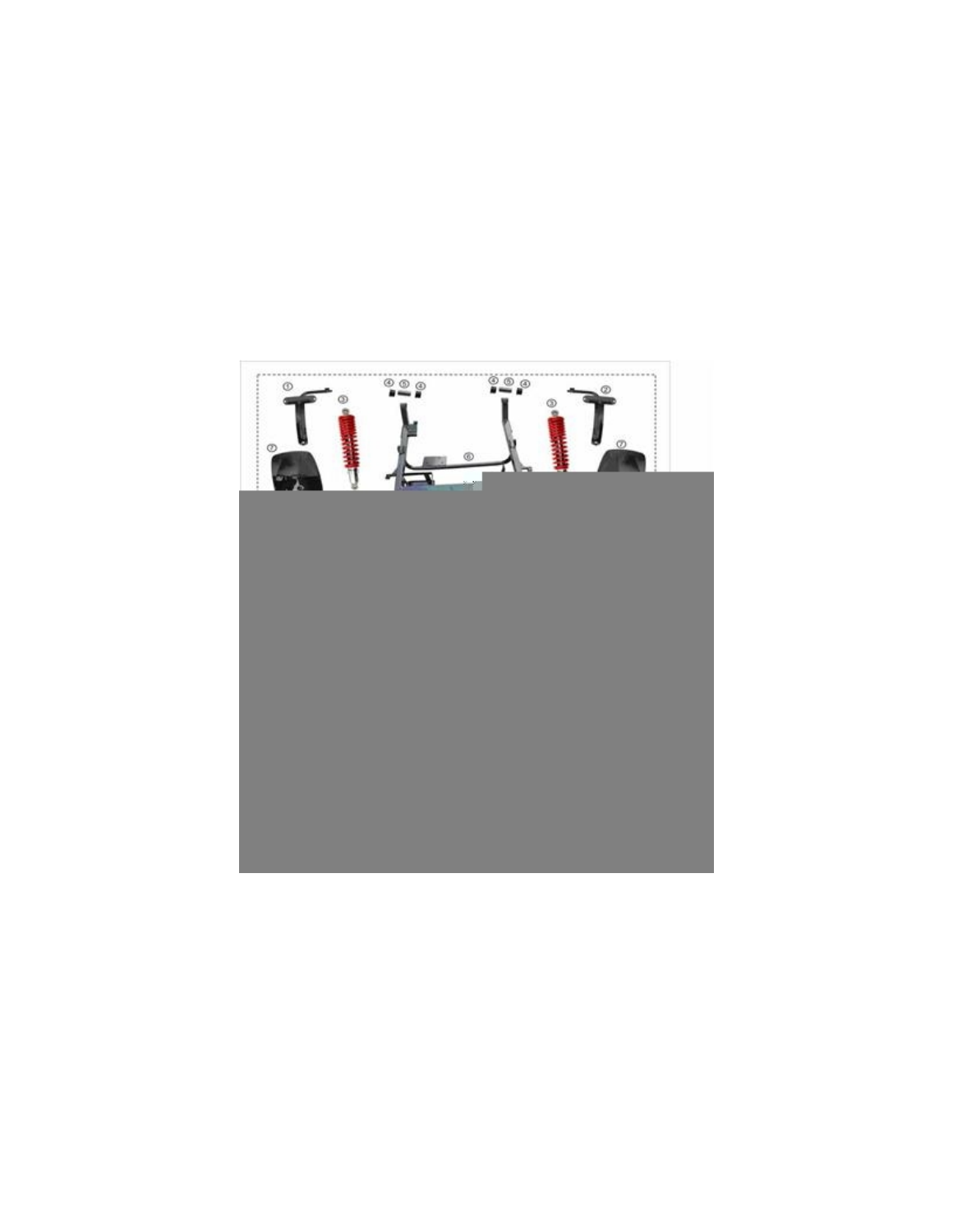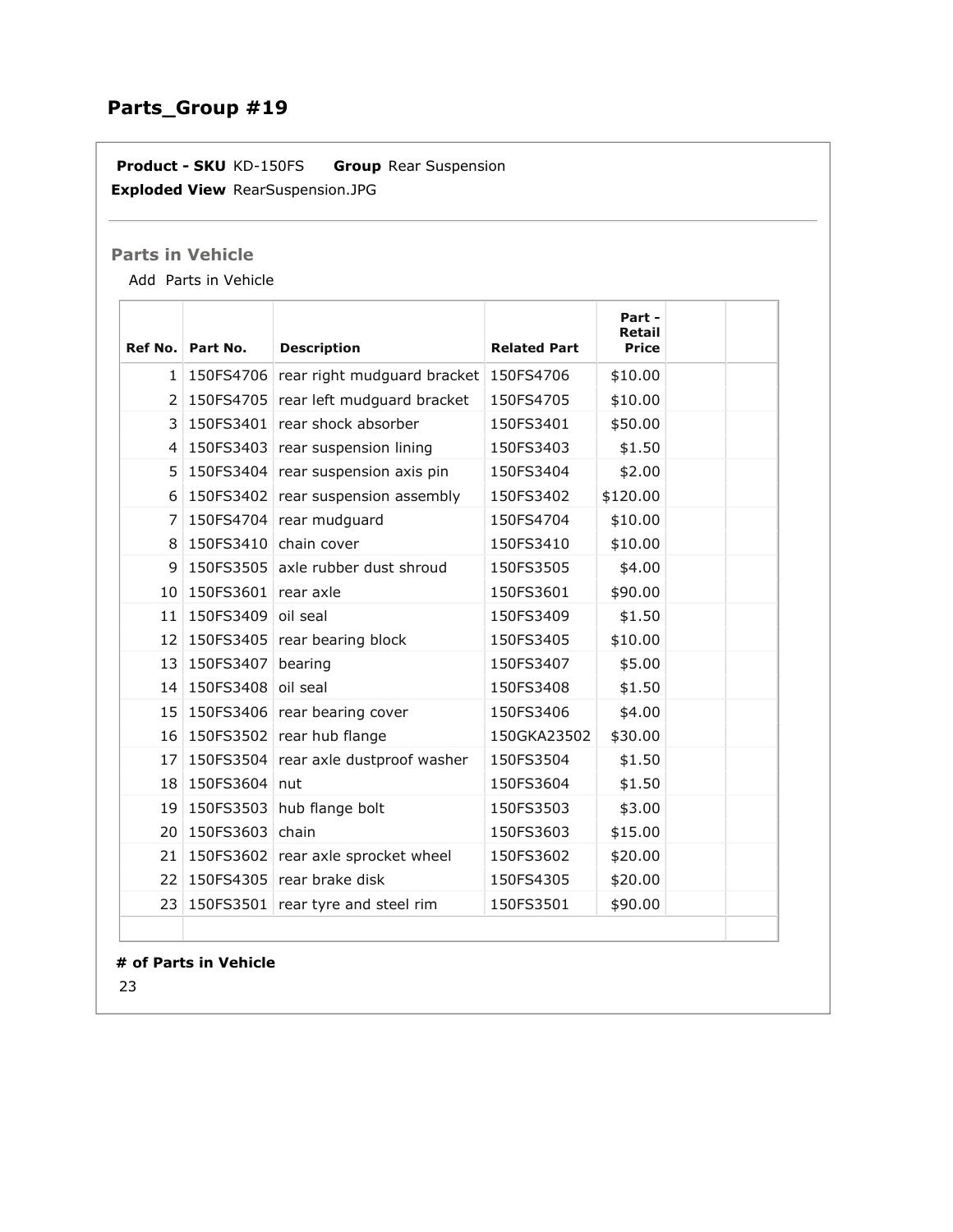**Product - SKU**  KD-150FS **Group** Rear Suspension **Exploded View** RearSuspension.JPG

#### **Parts in Vehicle**

**F** 

Add Parts in Vehicle

| Ref No.         | Part No.  | <b>Description</b>                | <b>Related Part</b> | Part -<br><b>Retail</b><br><b>Price</b> |  |
|-----------------|-----------|-----------------------------------|---------------------|-----------------------------------------|--|
| 1               | 150FS4706 | rear right mudguard bracket       | 150FS4706           | \$10.00                                 |  |
| 2               | 150FS4705 | rear left mudguard bracket        | 150FS4705           | \$10.00                                 |  |
| 3               | 150FS3401 | rear shock absorber               | 150FS3401           | \$50.00                                 |  |
| 4               | 150FS3403 | rear suspension lining            | 150FS3403           | \$1.50                                  |  |
| 5 <sup>1</sup>  | 150FS3404 | rear suspension axis pin          | 150FS3404           | \$2.00                                  |  |
| 6               | 150FS3402 | rear suspension assembly          | 150FS3402           | \$120.00                                |  |
| 7               |           | 150FS4704 rear mudguard           | 150FS4704           | \$10.00                                 |  |
| 8               | 150FS3410 | chain cover                       | 150FS3410           | \$10.00                                 |  |
| 9               |           | 150FS3505 axle rubber dust shroud | 150FS3505           | \$4.00                                  |  |
| 10              | 150FS3601 | rear axle                         | 150FS3601           | \$90.00                                 |  |
| 11              | 150FS3409 | oil seal                          | 150FS3409           | \$1.50                                  |  |
| 12 <sup>1</sup> | 150FS3405 | rear bearing block                | 150FS3405           | \$10.00                                 |  |
| 13              | 150FS3407 | bearing                           | 150FS3407           | \$5.00                                  |  |
| 14              | 150FS3408 | oil seal                          | 150FS3408           | \$1.50                                  |  |
| 15              |           | 150FS3406 rear bearing cover      | 150FS3406           | \$4.00                                  |  |
| 16 <sup>1</sup> | 150FS3502 | rear hub flange                   | 150GKA23502         | \$30.00                                 |  |
| 17              | 150FS3504 | rear axle dustproof washer        | 150FS3504           | \$1.50                                  |  |
| 18              | 150FS3604 | nut                               | 150FS3604           | \$1.50                                  |  |
| 19              | 150FS3503 | hub flange bolt                   | 150FS3503           | \$3.00                                  |  |
| 20              | 150FS3603 | chain                             | 150FS3603           | \$15.00                                 |  |
| 21              | 150FS3602 | rear axle sprocket wheel          | 150FS3602           | \$20.00                                 |  |
| 22 <sup>1</sup> | 150FS4305 | rear brake disk                   | 150FS4305           | \$20.00                                 |  |
| 23              | 150FS3501 | rear tyre and steel rim           | 150FS3501           | \$90.00                                 |  |
|                 |           |                                   |                     |                                         |  |

#### **# of Parts in Vehicle**

23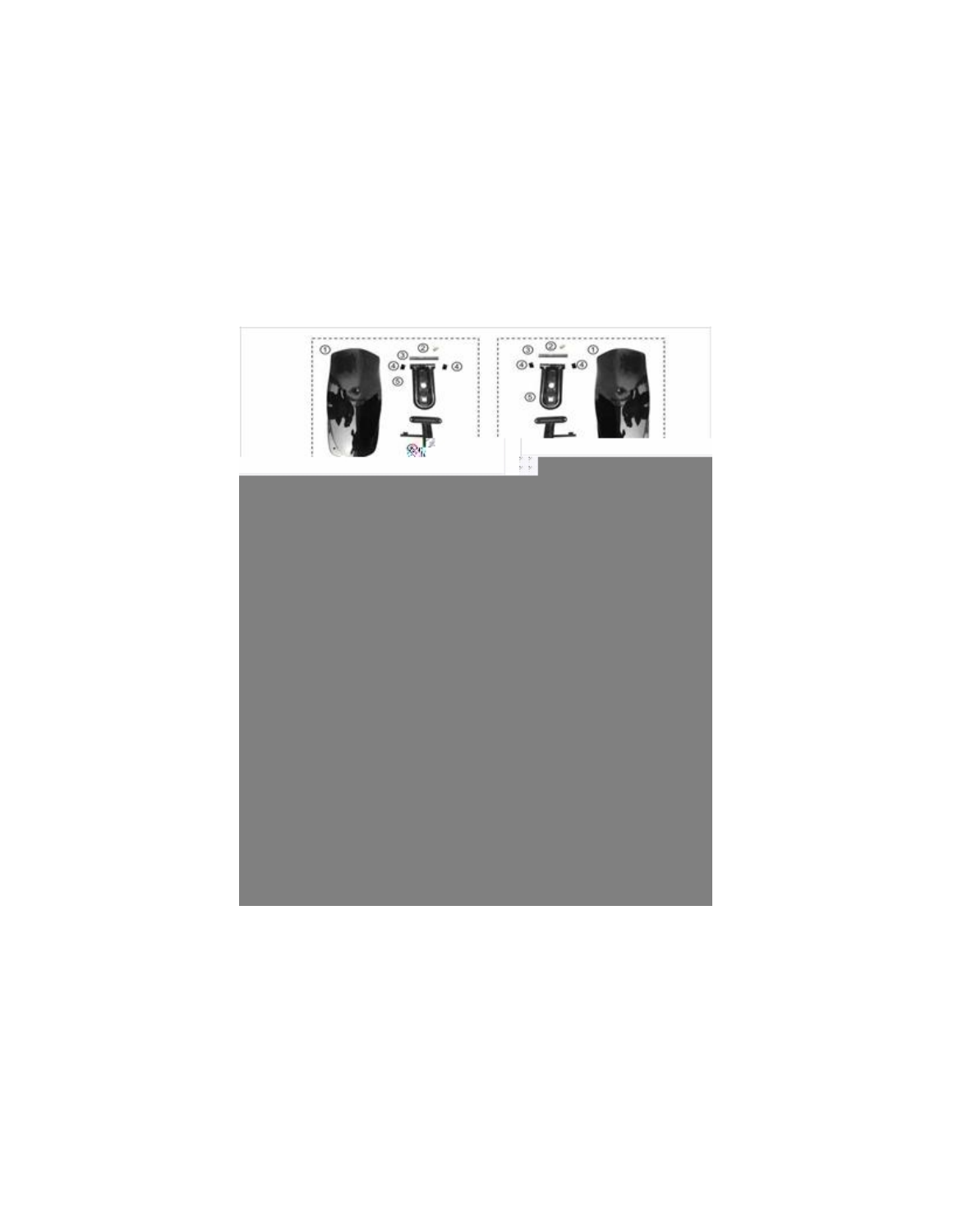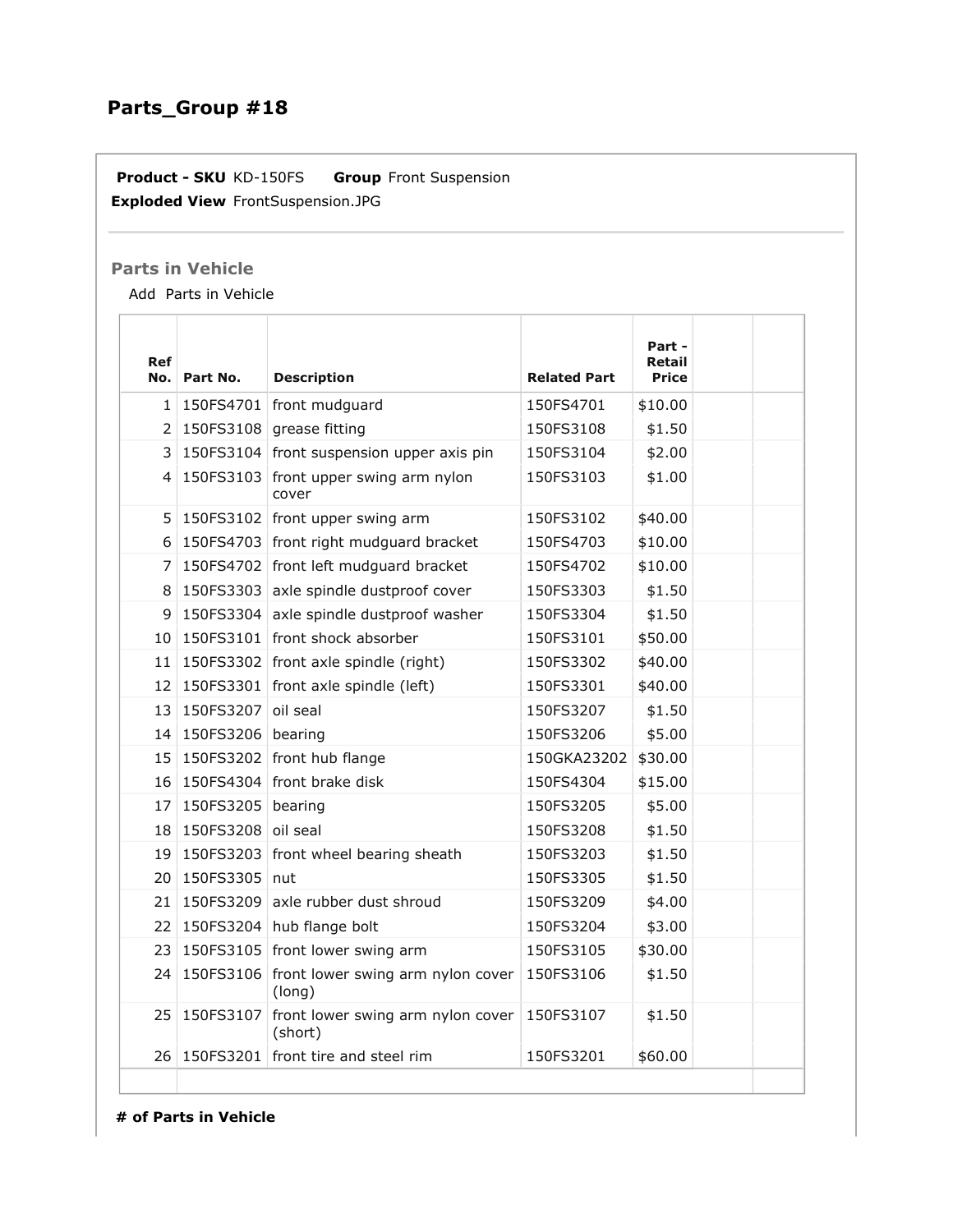### **Product - SKU**  KD-150FS **Group**  Front Suspension

**Exploded View**  FrontSuspension.JPG

#### **Parts in Vehicle**

| <b>Ref</b><br>No. | Part No.       | <b>Description</b>                           | <b>Related Part</b> | Part -<br>Retail<br><b>Price</b> |  |
|-------------------|----------------|----------------------------------------------|---------------------|----------------------------------|--|
| $\mathbf{1}$      | 150FS4701      | front mudguard                               | 150FS4701           | \$10.00                          |  |
|                   | 2   150FS3108  | grease fitting                               | 150FS3108           | \$1.50                           |  |
| 3                 | 150FS3104      | front suspension upper axis pin              | 150FS3104           | \$2.00                           |  |
| 4                 | 150FS3103      | front upper swing arm nylon<br>cover         | 150FS3103           | \$1.00                           |  |
| 5                 |                | 150FS3102 front upper swing arm              | 150FS3102           | \$40.00                          |  |
| 6                 |                | 150FS4703 front right mudguard bracket       | 150FS4703           | \$10.00                          |  |
| 7                 |                | 150FS4702 front left mudguard bracket        | 150FS4702           | \$10.00                          |  |
| 8                 |                | 150FS3303 axle spindle dustproof cover       | 150FS3303           | \$1.50                           |  |
| 9                 | 150FS3304      | axle spindle dustproof washer                | 150FS3304           | \$1.50                           |  |
|                   | 10   150FS3101 | front shock absorber                         | 150FS3101           | \$50.00                          |  |
|                   |                | 11   150FS3302   front axle spindle (right)  | 150FS3302           | \$40.00                          |  |
|                   |                | 12   150FS3301   front axle spindle (left)   | 150FS3301           | \$40.00                          |  |
| 13                | 150FS3207      | oil seal                                     | 150FS3207           | \$1.50                           |  |
|                   | 14   150FS3206 | bearing                                      | 150FS3206           | \$5.00                           |  |
|                   |                | 15 150FS3202 front hub flange                | 150GKA23202         | \$30.00                          |  |
|                   | 16   150FS4304 | front brake disk                             | 150FS4304           | \$15.00                          |  |
|                   | 17 150FS3205   | bearing                                      | 150FS3205           | \$5.00                           |  |
|                   | 18 150FS3208   | oil seal                                     | 150FS3208           | \$1.50                           |  |
| 19                |                | 150FS3203 front wheel bearing sheath         | 150FS3203           | \$1.50                           |  |
| 20                | 150FS3305      | nut                                          | 150FS3305           | \$1.50                           |  |
| 21                | 150FS3209      | axle rubber dust shroud                      | 150FS3209           | \$4.00                           |  |
|                   |                | 22   150FS3204   hub flange bolt             | 150FS3204           | \$3.00                           |  |
|                   |                | 23 150FS3105 front lower swing arm           | 150FS3105           | \$30.00                          |  |
| 24                | 150FS3106      | front lower swing arm nylon cover<br>(long)  | 150FS3106           | \$1.50                           |  |
| 25.               | 150FS3107      | front lower swing arm nylon cover<br>(short) | 150FS3107           | \$1.50                           |  |
|                   |                | 26 150FS3201 front tire and steel rim        | 150FS3201           | \$60.00                          |  |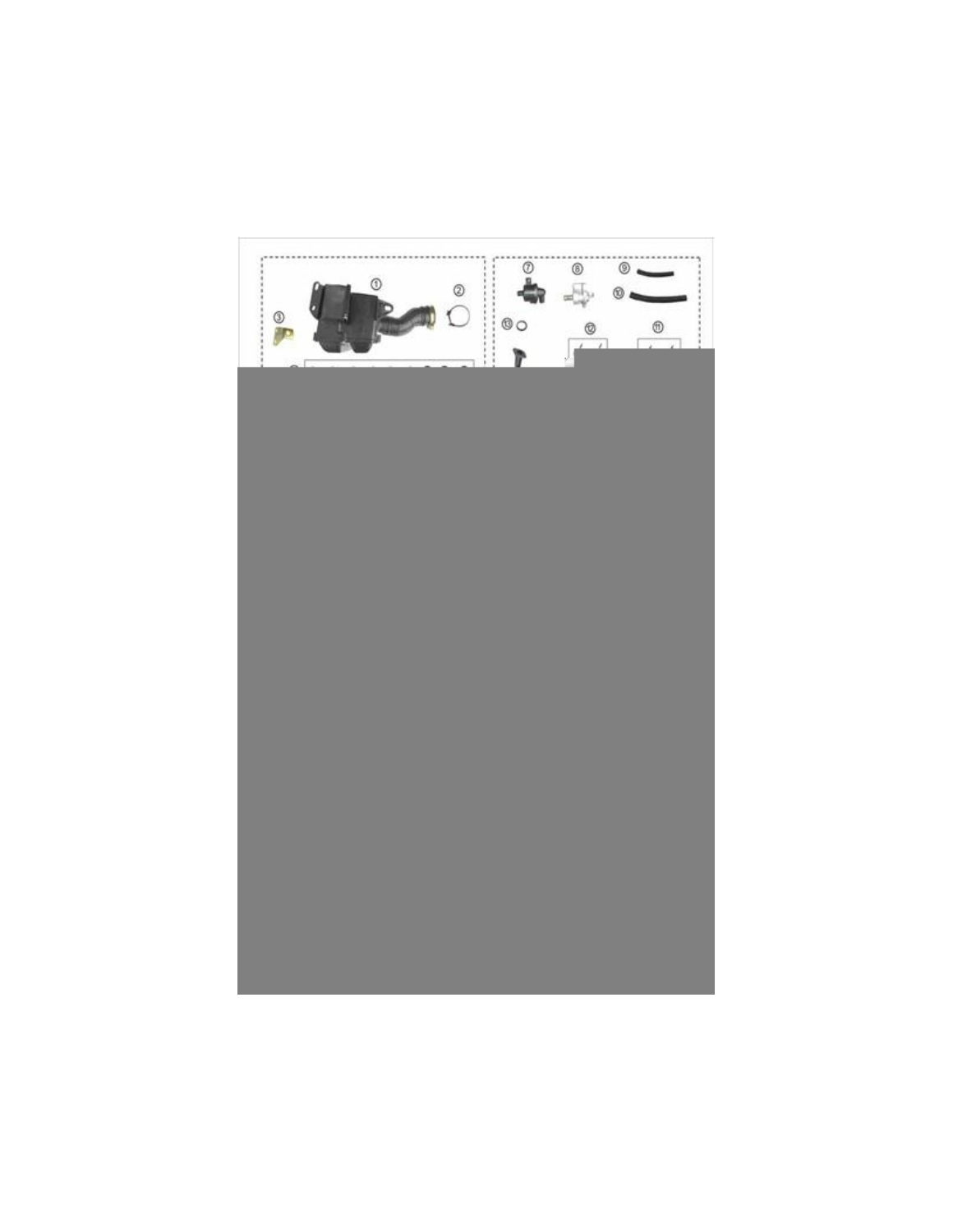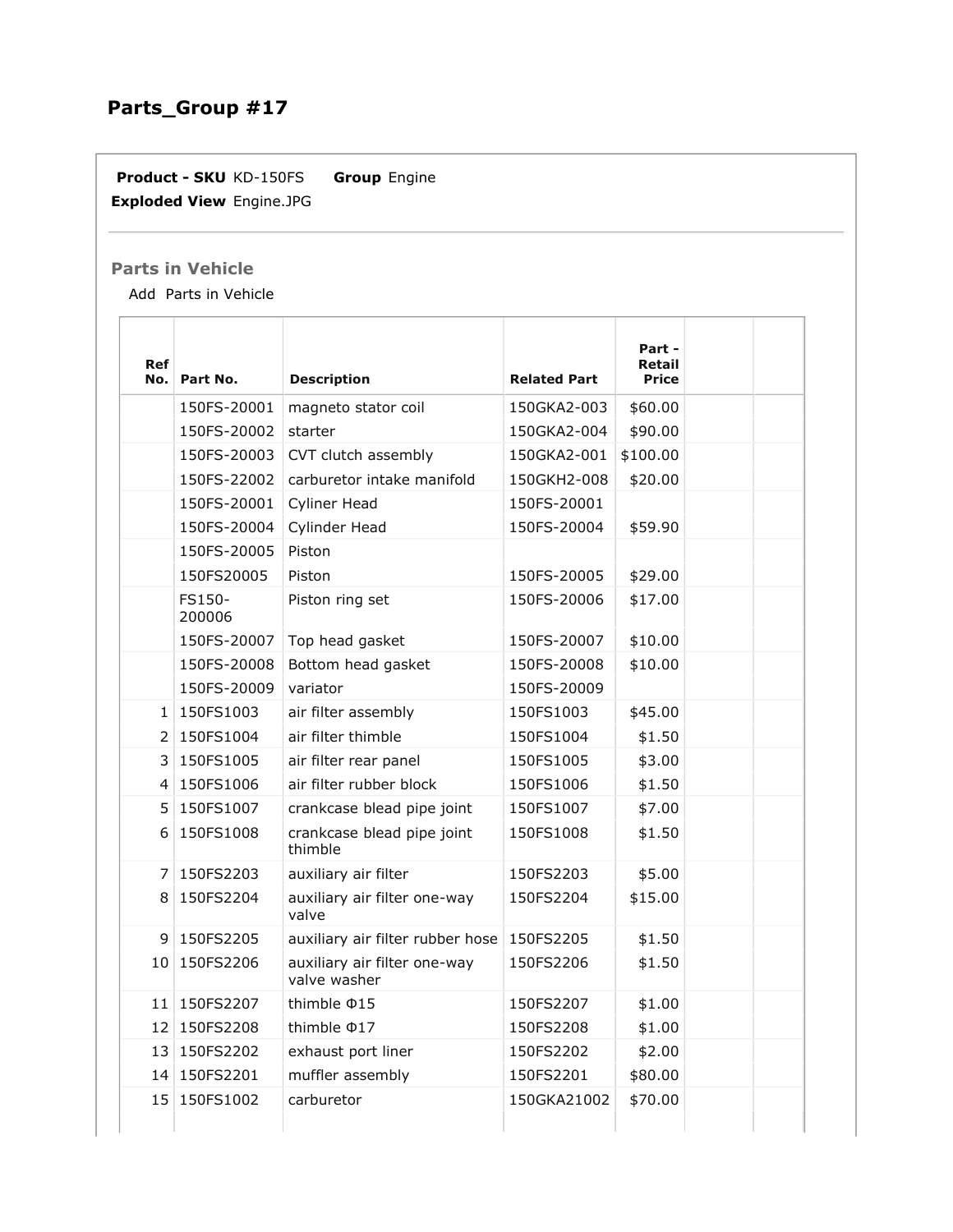# **Product - SKU**  KD-150FS **Group**  Engine

**Exploded View**  Engine.JPG

#### **Parts in Vehicle**

| <b>Ref</b><br>No. | Part No.         | <b>Description</b>                           | <b>Related Part</b> | Part -<br><b>Retail</b><br><b>Price</b> |  |
|-------------------|------------------|----------------------------------------------|---------------------|-----------------------------------------|--|
|                   | 150FS-20001      | magneto stator coil                          | 150GKA2-003         | \$60.00                                 |  |
|                   | 150FS-20002      | starter                                      | 150GKA2-004         | \$90.00                                 |  |
|                   | 150FS-20003      | CVT clutch assembly                          | 150GKA2-001         | \$100.00                                |  |
|                   | 150FS-22002      | carburetor intake manifold                   | 150GKH2-008         | \$20.00                                 |  |
|                   | 150FS-20001      | Cyliner Head                                 | 150FS-20001         |                                         |  |
|                   | 150FS-20004      | Cylinder Head                                | 150FS-20004         | \$59.90                                 |  |
|                   | 150FS-20005      | Piston                                       |                     |                                         |  |
|                   | 150FS20005       | Piston                                       | 150FS-20005         | \$29.00                                 |  |
|                   | FS150-<br>200006 | Piston ring set                              | 150FS-20006         | \$17.00                                 |  |
|                   | 150FS-20007      | Top head gasket                              | 150FS-20007         | \$10.00                                 |  |
|                   | 150FS-20008      | Bottom head gasket                           | 150FS-20008         | \$10.00                                 |  |
|                   | 150FS-20009      | variator                                     | 150FS-20009         |                                         |  |
| $\mathbf{1}$      | 150FS1003        | air filter assembly                          | 150FS1003           | \$45.00                                 |  |
| 2                 | 150FS1004        | air filter thimble                           | 150FS1004           | \$1.50                                  |  |
| 3                 | 150FS1005        | air filter rear panel                        | 150FS1005           | \$3.00                                  |  |
| 4                 | 150FS1006        | air filter rubber block                      | 150FS1006           | \$1.50                                  |  |
| 5                 | 150FS1007        | crankcase blead pipe joint                   | 150FS1007           | \$7.00                                  |  |
| 6                 | 150FS1008        | crankcase blead pipe joint<br>thimble        | 150FS1008           | \$1.50                                  |  |
| 7                 | 150FS2203        | auxiliary air filter                         | 150FS2203           | \$5.00                                  |  |
| 8                 | 150FS2204        | auxiliary air filter one-way<br>valve        | 150FS2204           | \$15.00                                 |  |
| 9                 | 150FS2205        | auxiliary air filter rubber hose             | 150FS2205           | \$1.50                                  |  |
| 10                | 150FS2206        | auxiliary air filter one-way<br>valve washer | 150FS2206           | \$1.50                                  |  |
|                   | 11 150FS2207     | thimble $@15$                                | 150FS2207           | \$1.00                                  |  |
| 12                | 150FS2208        | thimble $@17$                                | 150FS2208           | \$1.00                                  |  |
| 13                | 150FS2202        | exhaust port liner                           | 150FS2202           | \$2.00                                  |  |
| 14                | 150FS2201        | muffler assembly                             | 150FS2201           | \$80.00                                 |  |
| 15                | 150FS1002        | carburetor                                   | 150GKA21002         | \$70.00                                 |  |